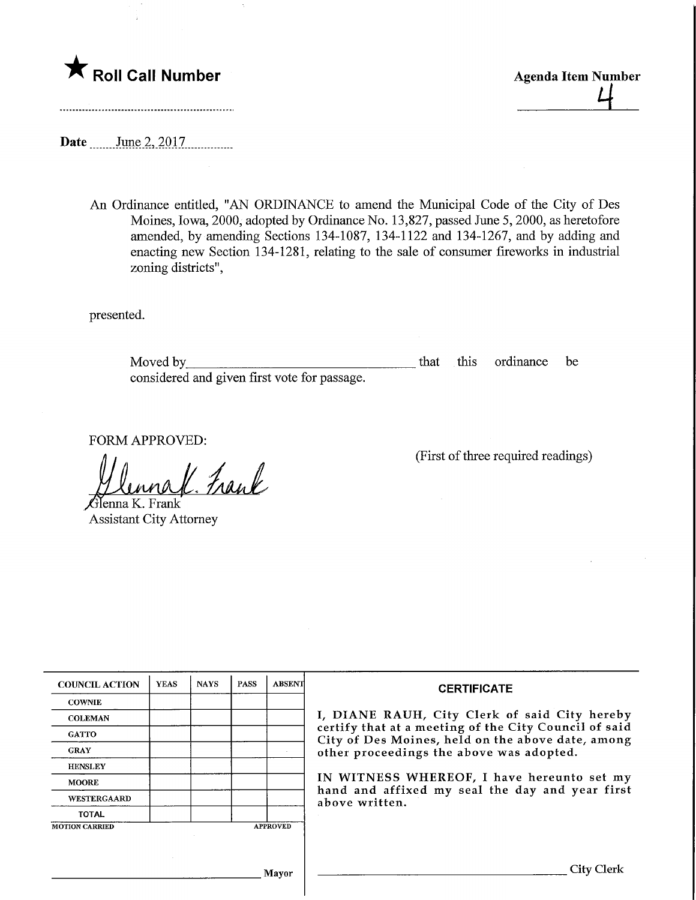

Date <u>June 2, 2017</u>

An Ordinance entitled, "AN ORDINANCE to amend the Municipal Code of the City of Des Moines, Iowa, 2000, adopted by Ordinance No. 13,827, passed June 5, 2000, as heretofore amended, by amending Sections 134-1087, 134-1122 and 134-1267, and by adding and enacting new Section 134-1281, relating to the sale of consumer fireworks in industrial zoning districts",

presented.

Moved by <u>example and the set of that</u> this ordinance be considered and given first vote for passage.

FORM APPROVED:

rane

 $\ell$ ienna K. Frank Assistant City Attorney (First of three required readings)

| <b>COUNCIL ACTION</b> | <b>YEAS</b> | <b>NAYS</b> | <b>PASS</b> | <b>ABSENT</b>   | <b>CERTIFICATE</b>                                                                                              |  |  |
|-----------------------|-------------|-------------|-------------|-----------------|-----------------------------------------------------------------------------------------------------------------|--|--|
| <b>COWNIE</b>         |             |             |             |                 |                                                                                                                 |  |  |
| <b>COLEMAN</b>        |             |             |             |                 | I, DIANE RAUH, City Clerk of said City hereby                                                                   |  |  |
| <b>GATTO</b>          |             |             |             |                 | certify that at a meeting of the City Council of said<br>City of Des Moines, held on the above date, among      |  |  |
| <b>GRAY</b>           |             |             |             |                 | other proceedings the above was adopted.                                                                        |  |  |
| <b>HENSLEY</b>        |             |             |             |                 |                                                                                                                 |  |  |
| <b>MOORE</b>          |             |             |             |                 | IN WITNESS WHEREOF, I have hereunto set my<br>hand and affixed my seal the day and year first<br>above written. |  |  |
| <b>WESTERGAARD</b>    |             |             |             |                 |                                                                                                                 |  |  |
| <b>TOTAL</b>          |             |             |             |                 |                                                                                                                 |  |  |
| <b>MOTION CARRIED</b> |             |             |             | <b>APPROVED</b> |                                                                                                                 |  |  |
|                       |             |             |             |                 |                                                                                                                 |  |  |
|                       |             |             |             | Mayor           | City Clerk                                                                                                      |  |  |
|                       |             |             |             |                 |                                                                                                                 |  |  |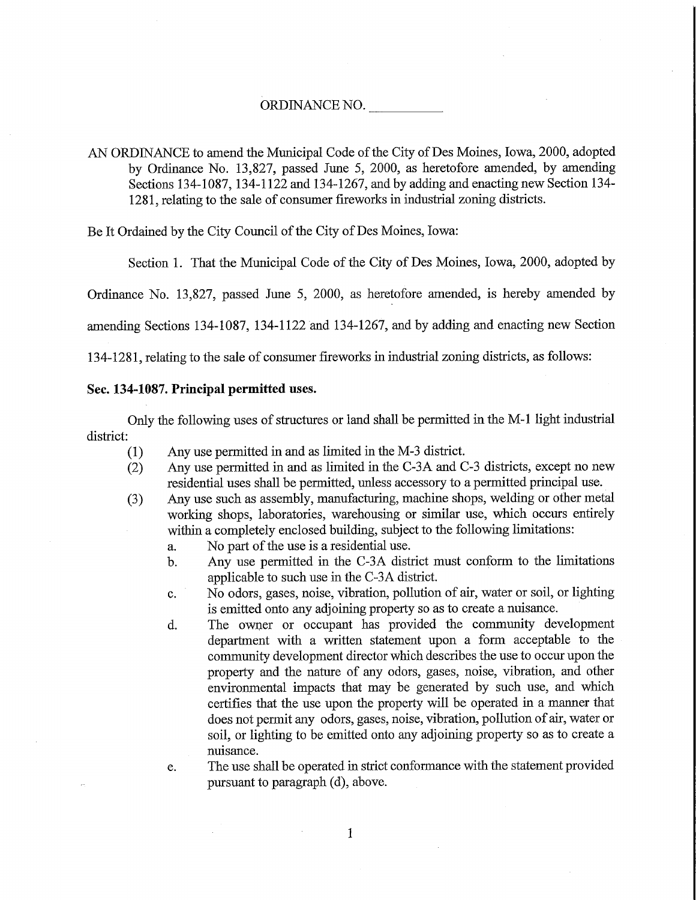AN ORDINANCE to amend the Municipal Code of the City of Des Moines, Iowa, 2000, adopted by Ordinance No. 13,827, passed June 5, 2000, as heretofore amended, by amending Sections 134-1087, 134-1122 and 134-1267, and by adding and enacting new Section 134-1281, relating to the sale of consumer fireworks in industrial zoning districts.

Be It Ordained by the City Council of the City of Des Moines, Iowa:

Section 1. That the Municipal Code of the City of Des Moines, Iowa, 2000, adopted by

Ordinance No. 13,827, passed June 5, 2000, as heretofore amended, is hereby amended by

amending Sections 134-1087, 134-1122 and 134-1267, and by adding and enacting new Section

134-1281, relating to the sale of consumer fireworks in industrial zoning districts, as follows:

## Sec. 134-1087. Principal permitted uses.

Only the following uses of structures or land shall be permitted in the M-l light industrial district:

- (1) Any use permitted in and as limited in the M-3 district.
- (2) Any use permitted in and as limited in the C-3A and C-3 districts, except no new residential uses shall be permitted, unless accessory to a permitted principal use.
- (3) Any use such as assembly, manufacturing, machine shops, welding or other metal working shops, laboratories, warehousing or similar use, which occurs entirely within a completely enclosed building, subject to the following limitations:
	- a. No part of the use is a residential use.
	- b. Any use permitted in the C-3A district must conform to the limitations applicable to such use in the C-3A district.
	- c. No odors, gases, noise, vibration, pollution of air, water or soil, or lighting is emitted onto any adjoining property so as to create a nuisance.
	- d. The owner or occupant has provided the community development department with a written statement upon a form acceptable to the community development director which describes the use to occur upon the property and the nature of any odors, gases, noise, vibration, and other environmental impacts that may be generated by such use, and which certifies that the use upon the property will be operated in a manner that does not permit any odors, gases, noise, vibration, pollution of air, water or soil, or lighting to be emitted onto any adjoining property so as to create a nuisance.

e. The use shall be operated in strict conformance with the statement provided pursuant to paragraph (d), above.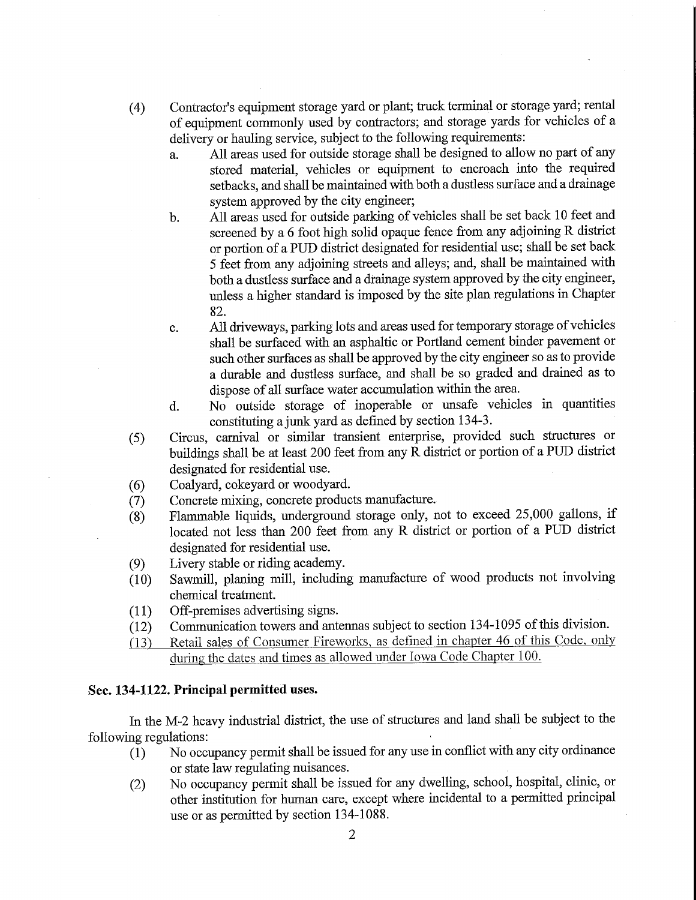- (4) Contractor's equipment storage yard or plant; truck terminal or storage yard; rental of equipment commonly used by contractors; and storage yards for vehicles of a delivery or hauling service, subject to the following requirements:
	- a. All areas used for outside storage shall be designed to allow no part of any stored material, vehicles or equipment to encroach into the required setbacks, and shall be maintained with both a dustless surface and a drainage system approved by the city engineer;
	- b. All areas used for outside parking of vehicles shall be set back 10 feet and screened by a 6 foot high solid opaque fence from any adjoining R district or portion of a PUD district designated for residential use; shall be set back 5 feet from any adjoining streets and alleys; and, shall be maintained with both a dustless surface and a drainage system approved by the city engineer, unless a higher standard is imposed by the site plan regulations in Chapter 82.
	- c. All driveways, parking lots and areas used for temporary storage of vehicles shall be surfaced with an asphaltic or Portland cement binder pavement or such other surfaces as shall be approved by the city engineer so as to provide a durable and dustless surface, and shall be so graded and drained as to dispose of all surface water accumulation within the area.
	- d. No outside storage of inoperable or unsafe vehicles in quantities constituting a junk yard as defined by section 134-3.
- (5) Circus, carnival or similar transient enterprise, provided such structures or buildings shall be at least 200 feet from any  $\overline{R}$  district or portion of a PUD district designated for residential use.
- (6) Coalyard, cokeyard or woodyard.
- (7) Concrete mixing, concrete products manufacture.
- (8) Flammable liquids, underground storage only, not to exceed 25,000 gallons, if located not less than 200 feet from any R district or portion of a PUD district designated for residential use.
- (9) Livery stable or riding academy.
- (10) Sawmill, planing mill, mcludmg manufacture of wood products not involving chemical treatment.
- (11) Off-premises advertising signs.
- (12) Communication towers and antennas subject to section 134-1095 of this division.
- (13) Retail sales of Consumer Fireworks, as defined in chapter 46 of this Code, only during the dates and times as allowed under Iowa Code Chapter 100.

## Sec. 134-1122. Principal permitted uses.

In the M-2 heavy industrial district, the use of structures and land shall be subject to the following regulations:

- $\tilde{(1)}$  No occupancy permit shall be issued for any use in conflict with any city ordinance or state law regulating nuisances.
- (2) No occupancy permit shall be issued for any dwelling, school, hospital, clinic, or other institution for human care, except where incidental to a pennitted principal use or as permitted by section 134-1088.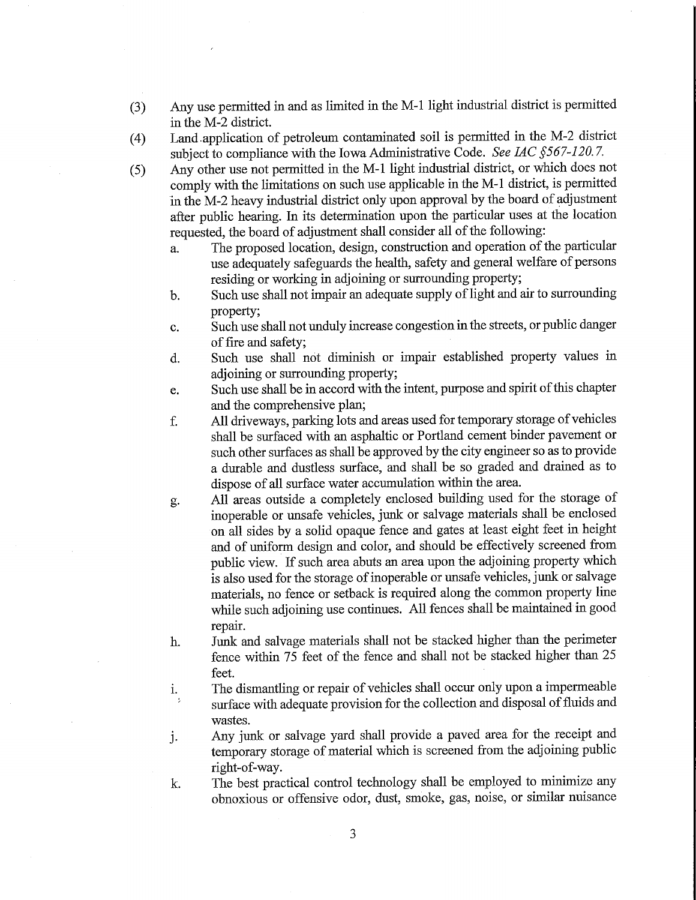- (3) Any use permitted in and as limited in the M-l light industrial district is permitted in the M-2 district.
- (4) Land. application of petroleum contaminated soil is permitted in the M-2 district subject to compliance with the Iowa Administrative Code. See IAC §567-120.7.
- (5) Any other use not permitted in the M-l light industrial district, or which does not comply with the limitations on such use applicable in the M-l district, is permitted in the M-2 heavy industrial district only upon approval by the board of adjustment after public hearing. In its determination upon the particular uses at the location requested, the board of adjustment shall consider all of the following:
	- a. The proposed location, design, construction and operation of the particular use adequately safeguards the health, safety and general welfare of persons residing or working in adjoining or surrounding property;
	- b. Such use shall not impair an adequate supply of light and air to surrounding property;
	- c. Such use shall not unduly increase congestion in the streets, or public danger of fire and safety;
	- d. Such use shall not diminish or impair established property values in adjoining or surrounding property;
	- e. Such use shall be in accord with the intent, purpose and spirit of this chapter and the comprehensive plan;
	- f. All driveways, parking lots and areas used for temporary storage of vehicles shall be surfaced with an asphaltic or Portland cement binder pavement or such other surfaces as shall be approved by the city engineer so as to provide a durable and dustless surface, and shall be so graded and drained as to dispose of all surface water accumulation within the area.
	- g. All areas outside a completely enclosed building used for the storage of inoperable or unsafe vehicles, junk or salvage materials shall be enclosed on all sides by a solid opaque fence and gates at least eight feet in height and of uniform design and color, and should be effectively screened from public view. If such area abuts an area upon the adjoining property which is also used for the storage of inoperable or unsafe vehicles, junk or salvage materials, no fence or setback is required along the common property line while such adjoining use continues. All fences shall be maintained in good repair.
	- h. Junk and salvage materials shall not be stacked higher than the perimeter fence within 75 feet of the fence and shall not be stacked higher than 25 feet.
	- i. The dismantling or repair of vehicles shall occur only upon a impermeable surface with adequate provision for the collection and disposal of fluids and wastes.
	- j. Any junk or salvage yard shall provide a paved area for the receipt and temporary storage of material which is screened from the adjoining public right-of-way.
	- k. The best practical control technology shall be employed to minimize any obnoxious or offensive odor, dust, smoke, gas, noise, or similar nuisance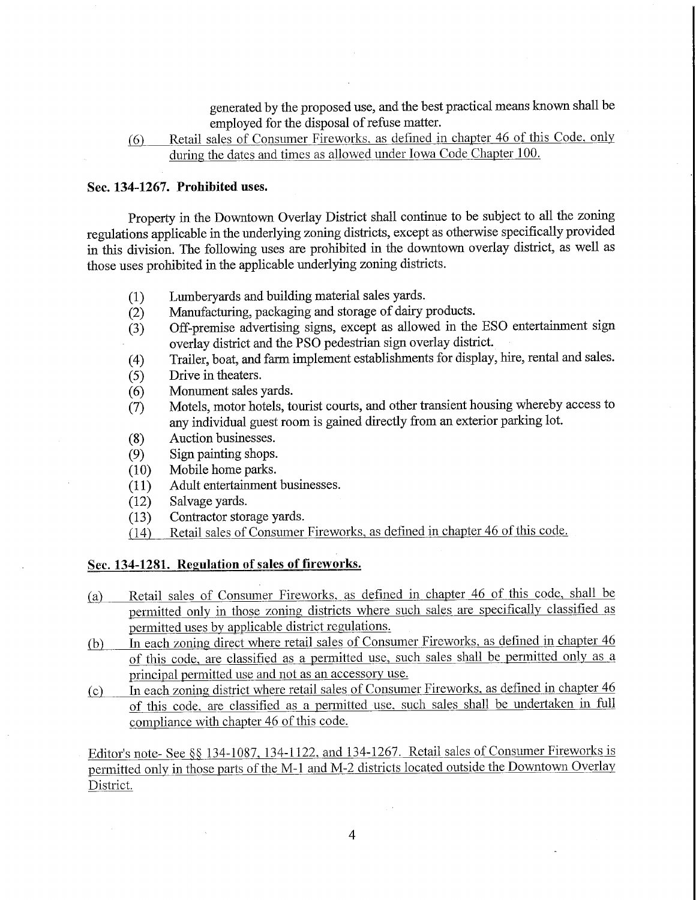generated by the proposed use, and the best practical means known shall be employed for the disposal of refuse matter.

(6) Retail sales of Consumer Fireworks, as defined in chapter 46 of this Code, only during the dates and times as allowed under Iowa Code Chapter 100.

## Sec. 134-1267. Prohibited uses.

Property in the Downtown Overlay District shall continue to be subject to all the zoning regulations applicable in the underlying zoning districts, except as otherwise specifically provided in this division. The following uses are prohibited in the downtown overlay district, as well as those uses prohibited in the applicable underlying zoning districts.

- (1) Lumberyards and building material sales yards.
- (2) Manufacturing, packaging and storage of dairy products.
- (3) Off-premise advertising signs, except as allowed in the ESQ entertainment sign overlay district and the PSO pedestrian sign overlay district.
- (4) Trailer, boat, and farm implement establishments for display, hire, rental and sales.
- (5) Drive in theaters.
- (6) Monument sales yards.
- (7) Motels, motor hotels, tourist courts, and other transient housing whereby access to any individual guest room is gained directly from an exterior parking lot.
- (8) Auction businesses.
- (9) Sign painting shops.<br>(10) Mobile home parks.
- Mobile home parks.
- (11) Adult entertainment businesses.
- (12) Salvage yards.
- (13) Contractor storage yards.
- (14) Retail sales of Consumer Fireworks, as defined in chapter 46 of this code.

## Sec. 134-1281. Regulation of sales of fireworks.

- fa) Retail sales of Consumer Fireworks, as defined in chapter 46 of this code, shall be permitted only in those zoning districts where such sales are specifically classified as permitted uses by applicable district regulations.
- (b) In each zoning direct where retail sales of Consumer Fireworks, as defined in chapter 46 of this code, are classified as a permitted use, such sales shall be permitted only as a principal permitted use and not as an accessory use^
- (c) In each zoning district where retail sales of Consumer Fireworks, as defined in chapter 46 of this code. are classified as a pemiitted use. such sales shall be undertaken in full compliance with chapter 46 of this code.

Editor's note- See §§ 134-1087, 134-1122, and 134-1267. Retail sales of Consumer Fireworks is permitted only in those parts of the M-l and M-2 districts located outside the Downtown Overlay District.